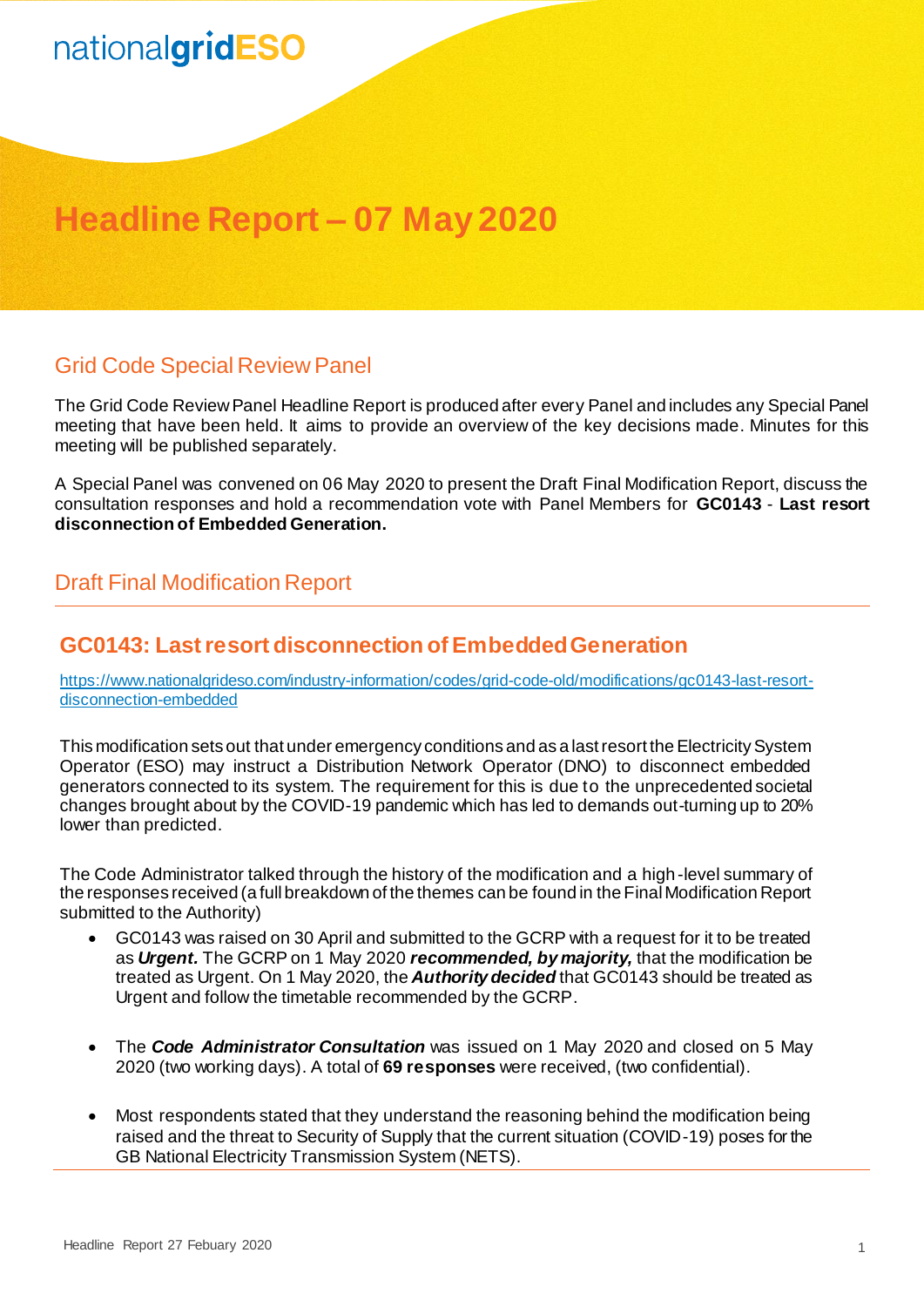# nationalgridESO

### **Headline Report – 07 May 2020**

#### Grid Code Special Review Panel

The Grid Code Review Panel Headline Report is produced after every Panel and includes any Special Panel meeting that have been held. It aims to provide an overview of the key decisions made. Minutes for this meeting will be published separately.

A Special Panel was convened on 06 May 2020 to present the Draft Final Modification Report, discuss the consultation responses and hold a recommendation vote with Panel Members for **GC0143** - **Last resort disconnection of Embedded Generation.**

### Draft Final Modification Report

#### **GC0143: Last resort disconnection of Embedded Generation**

[https://www.nationalgrideso.com/industry-information/codes/grid-code-old/modifications/gc0143-last-resort](https://www.nationalgrideso.com/industry-information/codes/grid-code-old/modifications/gc0143-last-resort-disconnection-embedded)[disconnection-embedded](https://www.nationalgrideso.com/industry-information/codes/grid-code-old/modifications/gc0143-last-resort-disconnection-embedded)

This modification sets out that under emergency conditions and as a last resort the Electricity System Operator (ESO) may instruct a Distribution Network Operator (DNO) to disconnect embedded generators connected to its system. The requirement for this is due to the unprecedented societal changes brought about by the COVID-19 pandemic which has led to demands out-turning up to 20% lower than predicted.

The Code Administrator talked through the history of the modification and a high-level summary of the responses received (a full breakdown of the themes can be found in the Final Modification Report submitted to the Authority)

- GC0143 was raised on 30 April and submitted to the GCRP with a request for it to be treated as *Urgent.* The GCRP on 1 May 2020 *recommended, by majority,* that the modification be treated as Urgent. On 1 May 2020, the *Authority decided* that GC0143 should be treated as Urgent and follow the timetable recommended by the GCRP.
- The *Code Administrator Consultation* was issued on 1 May 2020 and closed on 5 May 2020 (two working days). A total of **69 responses** were received, (two confidential).
- Most respondents stated that they understand the reasoning behind the modification being raised and the threat to Security of Supply that the current situation (COVID-19) poses for the GB National Electricity Transmission System (NETS).